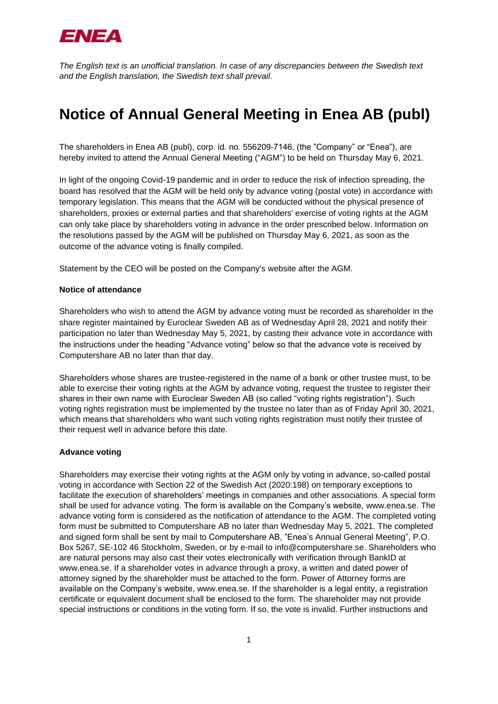

*The English text is an unofficial translation. In case of any discrepancies between the Swedish text and the English translation, the Swedish text shall prevail.*

# **Notice of Annual General Meeting in Enea AB (publ)**

The shareholders in Enea AB (publ), corp. id. no. 556209-7146, (the "Company" or "Enea"), are hereby invited to attend the Annual General Meeting ("AGM") to be held on Thursday May 6, 2021.

In light of the ongoing Covid-19 pandemic and in order to reduce the risk of infection spreading, the board has resolved that the AGM will be held only by advance voting (postal vote) in accordance with temporary legislation. This means that the AGM will be conducted without the physical presence of shareholders, proxies or external parties and that shareholders' exercise of voting rights at the AGM can only take place by shareholders voting in advance in the order prescribed below. Information on the resolutions passed by the AGM will be published on Thursday May 6, 2021, as soon as the outcome of the advance voting is finally compiled.

Statement by the CEO will be posted on the Company's website after the AGM.

#### **Notice of attendance**

Shareholders who wish to attend the AGM by advance voting must be recorded as shareholder in the share register maintained by Euroclear Sweden AB as of Wednesday April 28, 2021 and notify their participation no later than Wednesday May 5, 2021, by casting their advance vote in accordance with the instructions under the heading "Advance voting" below so that the advance vote is received by Computershare AB no later than that day.

Shareholders whose shares are trustee-registered in the name of a bank or other trustee must, to be able to exercise their voting rights at the AGM by advance voting, request the trustee to register their shares in their own name with Euroclear Sweden AB (so called "voting rights registration"). Such voting rights registration must be implemented by the trustee no later than as of Friday April 30, 2021, which means that shareholders who want such voting rights registration must notify their trustee of their request well in advance before this date.

#### **Advance voting**

Shareholders may exercise their voting rights at the AGM only by voting in advance, so-called postal voting in accordance with Section 22 of the Swedish Act (2020:198) on temporary exceptions to facilitate the execution of shareholders' meetings in companies and other associations. A special form shall be used for advance voting. The form is available on the Company's website, www.enea.se. The advance voting form is considered as the notification of attendance to the AGM. The completed voting form must be submitted to Computershare AB no later than Wednesday May 5, 2021. The completed and signed form shall be sent by mail to Computershare AB, "Enea's Annual General Meeting", P.O. Box 5267, SE-102 46 Stockholm, Sweden, or by e-mail to [info@computershare.se.](mailto:info@computershare.se) Shareholders who are natural persons may also cast their votes electronically with verification through BankID at [www.enea.se.](http://www.enea.se/) If a shareholder votes in advance through a proxy, a written and dated power of attorney signed by the shareholder must be attached to the form. Power of Attorney forms are available on the Company's website, [www.enea.se.](http://www.enea.se/) If the shareholder is a legal entity, a registration certificate or equivalent document shall be enclosed to the form. The shareholder may not provide special instructions or conditions in the voting form. If so, the vote is invalid. Further instructions and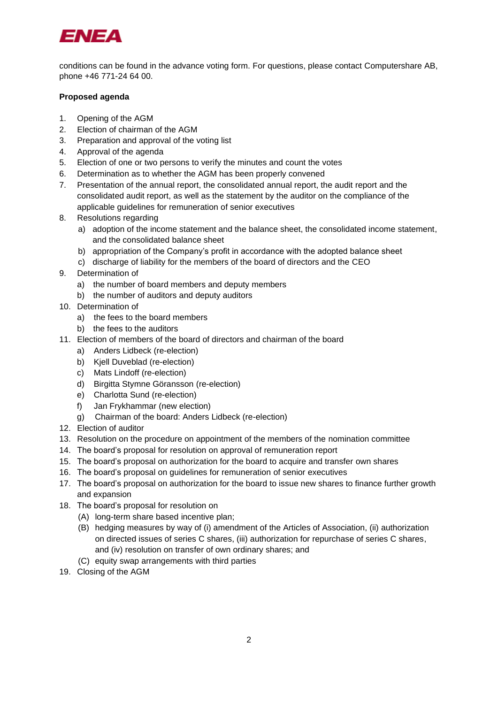

conditions can be found in the advance voting form. For questions, please contact Computershare AB, phone +46 771-24 64 00.

## **Proposed agenda**

- 1. Opening of the AGM
- 2. Election of chairman of the AGM
- 3. Preparation and approval of the voting list
- 4. Approval of the agenda
- 5. Election of one or two persons to verify the minutes and count the votes
- 6. Determination as to whether the AGM has been properly convened
- 7. Presentation of the annual report, the consolidated annual report, the audit report and the consolidated audit report, as well as the statement by the auditor on the compliance of the applicable guidelines for remuneration of senior executives
- 8. Resolutions regarding
	- a) adoption of the income statement and the balance sheet, the consolidated income statement, and the consolidated balance sheet
	- b) appropriation of the Company's profit in accordance with the adopted balance sheet
	- c) discharge of liability for the members of the board of directors and the CEO
- 9. Determination of
	- a) the number of board members and deputy members
	- b) the number of auditors and deputy auditors
- 10. Determination of
	- a) the fees to the board members
	- b) the fees to the auditors
- 11. Election of members of the board of directors and chairman of the board
	- a) Anders Lidbeck (re-election)
	- b) Kjell Duveblad (re-election)
	- c) Mats Lindoff (re-election)
	- d) Birgitta Stymne Göransson (re-election)
	- e) Charlotta Sund (re-election)
	- f) Jan Frykhammar (new election)
	- g) Chairman of the board: Anders Lidbeck (re-election)
- 12. Election of auditor
- 13. Resolution on the procedure on appointment of the members of the nomination committee
- 14. The board's proposal for resolution on approval of remuneration report
- 15. The board's proposal on authorization for the board to acquire and transfer own shares
- 16. The board's proposal on guidelines for remuneration of senior executives
- 17. The board's proposal on authorization for the board to issue new shares to finance further growth and expansion
- 18. The board's proposal for resolution on
	- (A) long-term share based incentive plan;
	- (B) hedging measures by way of (i) amendment of the Articles of Association, (ii) authorization on directed issues of series C shares, (iii) authorization for repurchase of series C shares, and (iv) resolution on transfer of own ordinary shares; and
	- (C) equity swap arrangements with third parties
- 19. Closing of the AGM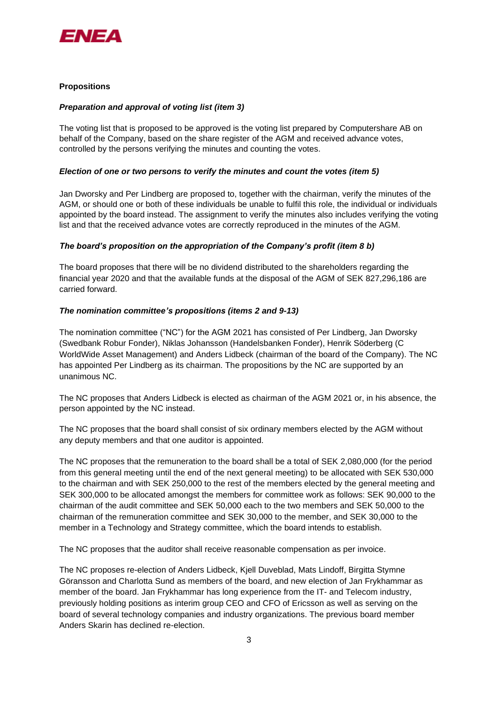

# **Propositions**

#### *Preparation and approval of voting list (item 3)*

The voting list that is proposed to be approved is the voting list prepared by Computershare AB on behalf of the Company, based on the share register of the AGM and received advance votes, controlled by the persons verifying the minutes and counting the votes.

#### *Election of one or two persons to verify the minutes and count the votes (item 5)*

Jan Dworsky and Per Lindberg are proposed to, together with the chairman, verify the minutes of the AGM, or should one or both of these individuals be unable to fulfil this role, the individual or individuals appointed by the board instead. The assignment to verify the minutes also includes verifying the voting list and that the received advance votes are correctly reproduced in the minutes of the AGM.

## *The board's proposition on the appropriation of the Company's profit (item 8 b)*

The board proposes that there will be no dividend distributed to the shareholders regarding the financial year 2020 and that the available funds at the disposal of the AGM of SEK 827,296,186 are carried forward.

## *The nomination committee's propositions (items 2 and 9-13)*

The nomination committee ("NC") for the AGM 2021 has consisted of Per Lindberg, Jan Dworsky (Swedbank Robur Fonder), Niklas Johansson (Handelsbanken Fonder), Henrik Söderberg (C WorldWide Asset Management) and Anders Lidbeck (chairman of the board of the Company). The NC has appointed Per Lindberg as its chairman. The propositions by the NC are supported by an unanimous NC.

The NC proposes that Anders Lidbeck is elected as chairman of the AGM 2021 or, in his absence, the person appointed by the NC instead.

The NC proposes that the board shall consist of six ordinary members elected by the AGM without any deputy members and that one auditor is appointed.

The NC proposes that the remuneration to the board shall be a total of SEK 2,080,000 (for the period from this general meeting until the end of the next general meeting) to be allocated with SEK 530,000 to the chairman and with SEK 250,000 to the rest of the members elected by the general meeting and SEK 300,000 to be allocated amongst the members for committee work as follows: SEK 90,000 to the chairman of the audit committee and SEK 50,000 each to the two members and SEK 50,000 to the chairman of the remuneration committee and SEK 30,000 to the member, and SEK 30,000 to the member in a Technology and Strategy committee, which the board intends to establish.

The NC proposes that the auditor shall receive reasonable compensation as per invoice.

The NC proposes re-election of Anders Lidbeck, Kjell Duveblad, Mats Lindoff, Birgitta Stymne Göransson and Charlotta Sund as members of the board, and new election of Jan Frykhammar as member of the board. Jan Frykhammar has long experience from the IT- and Telecom industry, previously holding positions as interim group CEO and CFO of Ericsson as well as serving on the board of several technology companies and industry organizations. The previous board member Anders Skarin has declined re-election.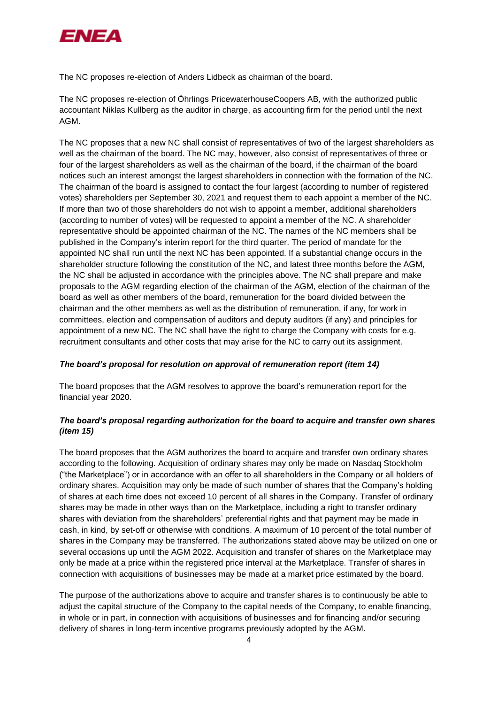

The NC proposes re-election of Anders Lidbeck as chairman of the board.

The NC proposes re-election of Öhrlings PricewaterhouseCoopers AB, with the authorized public accountant Niklas Kullberg as the auditor in charge, as accounting firm for the period until the next AGM.

The NC proposes that a new NC shall consist of representatives of two of the largest shareholders as well as the chairman of the board. The NC may, however, also consist of representatives of three or four of the largest shareholders as well as the chairman of the board, if the chairman of the board notices such an interest amongst the largest shareholders in connection with the formation of the NC. The chairman of the board is assigned to contact the four largest (according to number of registered votes) shareholders per September 30, 2021 and request them to each appoint a member of the NC. If more than two of those shareholders do not wish to appoint a member, additional shareholders (according to number of votes) will be requested to appoint a member of the NC. A shareholder representative should be appointed chairman of the NC. The names of the NC members shall be published in the Company's interim report for the third quarter. The period of mandate for the appointed NC shall run until the next NC has been appointed. If a substantial change occurs in the shareholder structure following the constitution of the NC, and latest three months before the AGM, the NC shall be adjusted in accordance with the principles above. The NC shall prepare and make proposals to the AGM regarding election of the chairman of the AGM, election of the chairman of the board as well as other members of the board, remuneration for the board divided between the chairman and the other members as well as the distribution of remuneration, if any, for work in committees, election and compensation of auditors and deputy auditors (if any) and principles for appointment of a new NC. The NC shall have the right to charge the Company with costs for e.g. recruitment consultants and other costs that may arise for the NC to carry out its assignment.

# *The board's proposal for resolution on approval of remuneration report (item 14)*

The board proposes that the AGM resolves to approve the board's remuneration report for the financial year 2020.

# *The board's proposal regarding authorization for the board to acquire and transfer own shares (item 15)*

The board proposes that the AGM authorizes the board to acquire and transfer own ordinary shares according to the following. Acquisition of ordinary shares may only be made on Nasdaq Stockholm ("the Marketplace") or in accordance with an offer to all shareholders in the Company or all holders of ordinary shares. Acquisition may only be made of such number of shares that the Company's holding of shares at each time does not exceed 10 percent of all shares in the Company. Transfer of ordinary shares may be made in other ways than on the Marketplace, including a right to transfer ordinary shares with deviation from the shareholders' preferential rights and that payment may be made in cash, in kind, by set-off or otherwise with conditions. A maximum of 10 percent of the total number of shares in the Company may be transferred. The authorizations stated above may be utilized on one or several occasions up until the AGM 2022. Acquisition and transfer of shares on the Marketplace may only be made at a price within the registered price interval at the Marketplace. Transfer of shares in connection with acquisitions of businesses may be made at a market price estimated by the board.

The purpose of the authorizations above to acquire and transfer shares is to continuously be able to adjust the capital structure of the Company to the capital needs of the Company, to enable financing, in whole or in part, in connection with acquisitions of businesses and for financing and/or securing delivery of shares in long-term incentive programs previously adopted by the AGM.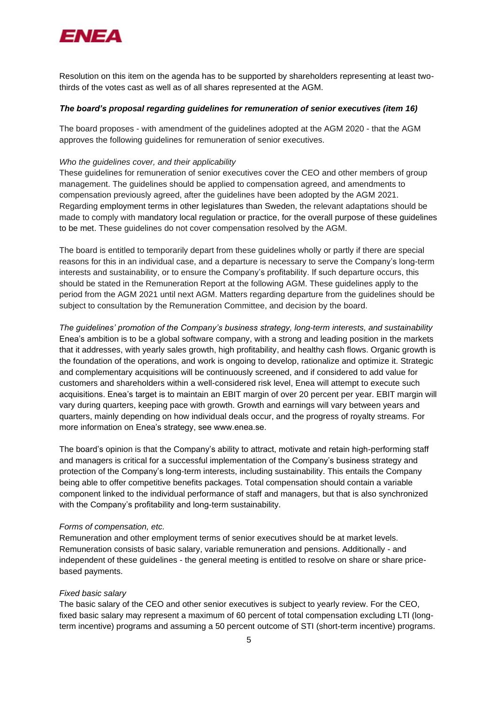

Resolution on this item on the agenda has to be supported by shareholders representing at least twothirds of the votes cast as well as of all shares represented at the AGM.

#### *The board's proposal regarding guidelines for remuneration of senior executives (item 16)*

The board proposes - with amendment of the guidelines adopted at the AGM 2020 - that the AGM approves the following guidelines for remuneration of senior executives.

#### *Who the guidelines cover, and their applicability*

These guidelines for remuneration of senior executives cover the CEO and other members of group management. The guidelines should be applied to compensation agreed, and amendments to compensation previously agreed, after the guidelines have been adopted by the AGM 2021. Regarding employment terms in other legislatures than Sweden, the relevant adaptations should be made to comply with mandatory local regulation or practice, for the overall purpose of these guidelines to be met. These guidelines do not cover compensation resolved by the AGM.

The board is entitled to temporarily depart from these guidelines wholly or partly if there are special reasons for this in an individual case, and a departure is necessary to serve the Company's long-term interests and sustainability, or to ensure the Company's profitability. If such departure occurs, this should be stated in the Remuneration Report at the following AGM. These guidelines apply to the period from the AGM 2021 until next AGM. Matters regarding departure from the guidelines should be subject to consultation by the Remuneration Committee, and decision by the board.

*The guidelines' promotion of the Company's business strategy, long-term interests, and sustainability* Enea's ambition is to be a global software company, with a strong and leading position in the markets that it addresses, with yearly sales growth, high profitability, and healthy cash flows. Organic growth is the foundation of the operations, and work is ongoing to develop, rationalize and optimize it. Strategic and complementary acquisitions will be continuously screened, and if considered to add value for customers and shareholders within a well-considered risk level, Enea will attempt to execute such acquisitions. Enea's target is to maintain an EBIT margin of over 20 percent per year. EBIT margin will vary during quarters, keeping pace with growth. Growth and earnings will vary between years and quarters, mainly depending on how individual deals occur, and the progress of royalty streams. For more information on Enea's strategy, see www.enea.se.

The board's opinion is that the Company's ability to attract, motivate and retain high-performing staff and managers is critical for a successful implementation of the Company's business strategy and protection of the Company's long-term interests, including sustainability. This entails the Company being able to offer competitive benefits packages. Total compensation should contain a variable component linked to the individual performance of staff and managers, but that is also synchronized with the Company's profitability and long-term sustainability.

#### *Forms of compensation, etc.*

Remuneration and other employment terms of senior executives should be at market levels. Remuneration consists of basic salary, variable remuneration and pensions. Additionally - and independent of these guidelines - the general meeting is entitled to resolve on share or share pricebased payments.

#### *Fixed basic salary*

The basic salary of the CEO and other senior executives is subject to yearly review. For the CEO, fixed basic salary may represent a maximum of 60 percent of total compensation excluding LTI (longterm incentive) programs and assuming a 50 percent outcome of STI (short-term incentive) programs.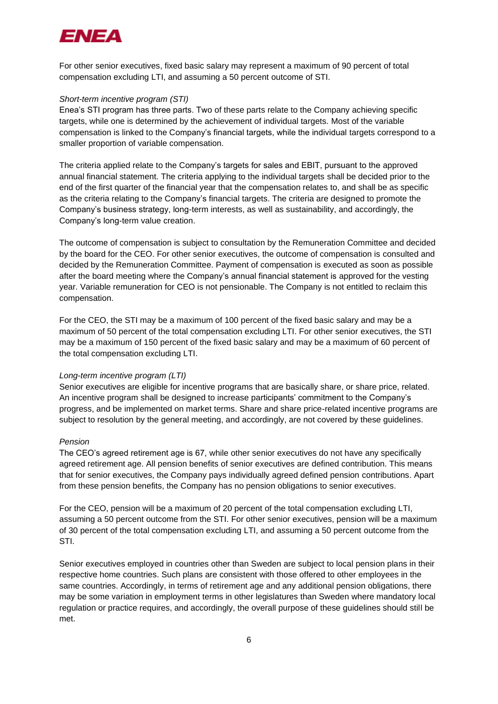

For other senior executives, fixed basic salary may represent a maximum of 90 percent of total compensation excluding LTI, and assuming a 50 percent outcome of STI.

#### *Short-term incentive program (STI)*

Enea's STI program has three parts. Two of these parts relate to the Company achieving specific targets, while one is determined by the achievement of individual targets. Most of the variable compensation is linked to the Company's financial targets, while the individual targets correspond to a smaller proportion of variable compensation.

The criteria applied relate to the Company's targets for sales and EBIT, pursuant to the approved annual financial statement. The criteria applying to the individual targets shall be decided prior to the end of the first quarter of the financial year that the compensation relates to, and shall be as specific as the criteria relating to the Company's financial targets. The criteria are designed to promote the Company's business strategy, long-term interests, as well as sustainability, and accordingly, the Company's long-term value creation.

The outcome of compensation is subject to consultation by the Remuneration Committee and decided by the board for the CEO. For other senior executives, the outcome of compensation is consulted and decided by the Remuneration Committee. Payment of compensation is executed as soon as possible after the board meeting where the Company's annual financial statement is approved for the vesting year. Variable remuneration for CEO is not pensionable. The Company is not entitled to reclaim this compensation.

For the CEO, the STI may be a maximum of 100 percent of the fixed basic salary and may be a maximum of 50 percent of the total compensation excluding LTI. For other senior executives, the STI may be a maximum of 150 percent of the fixed basic salary and may be a maximum of 60 percent of the total compensation excluding LTI.

#### *Long-term incentive program (LTI)*

Senior executives are eligible for incentive programs that are basically share, or share price, related. An incentive program shall be designed to increase participants' commitment to the Company's progress, and be implemented on market terms. Share and share price-related incentive programs are subject to resolution by the general meeting, and accordingly, are not covered by these guidelines.

#### *Pension*

The CEO's agreed retirement age is 67, while other senior executives do not have any specifically agreed retirement age. All pension benefits of senior executives are defined contribution. This means that for senior executives, the Company pays individually agreed defined pension contributions. Apart from these pension benefits, the Company has no pension obligations to senior executives.

For the CEO, pension will be a maximum of 20 percent of the total compensation excluding LTI, assuming a 50 percent outcome from the STI. For other senior executives, pension will be a maximum of 30 percent of the total compensation excluding LTI, and assuming a 50 percent outcome from the STI.

Senior executives employed in countries other than Sweden are subject to local pension plans in their respective home countries. Such plans are consistent with those offered to other employees in the same countries. Accordingly, in terms of retirement age and any additional pension obligations, there may be some variation in employment terms in other legislatures than Sweden where mandatory local regulation or practice requires, and accordingly, the overall purpose of these guidelines should still be met.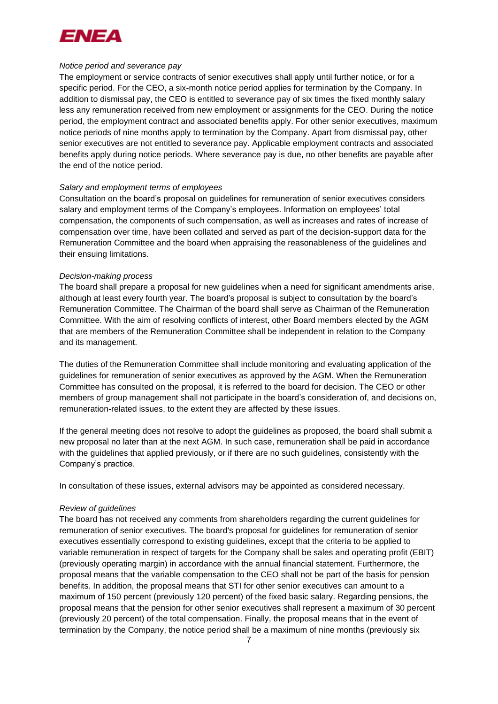

#### *Notice period and severance pay*

The employment or service contracts of senior executives shall apply until further notice, or for a specific period. For the CEO, a six-month notice period applies for termination by the Company. In addition to dismissal pay, the CEO is entitled to severance pay of six times the fixed monthly salary less any remuneration received from new employment or assignments for the CEO. During the notice period, the employment contract and associated benefits apply. For other senior executives, maximum notice periods of nine months apply to termination by the Company. Apart from dismissal pay, other senior executives are not entitled to severance pay. Applicable employment contracts and associated benefits apply during notice periods. Where severance pay is due, no other benefits are payable after the end of the notice period.

#### *Salary and employment terms of employees*

Consultation on the board's proposal on guidelines for remuneration of senior executives considers salary and employment terms of the Company's employees. Information on employees' total compensation, the components of such compensation, as well as increases and rates of increase of compensation over time, have been collated and served as part of the decision-support data for the Remuneration Committee and the board when appraising the reasonableness of the guidelines and their ensuing limitations.

#### *Decision-making process*

The board shall prepare a proposal for new guidelines when a need for significant amendments arise, although at least every fourth year. The board's proposal is subject to consultation by the board's Remuneration Committee. The Chairman of the board shall serve as Chairman of the Remuneration Committee. With the aim of resolving conflicts of interest, other Board members elected by the AGM that are members of the Remuneration Committee shall be independent in relation to the Company and its management.

The duties of the Remuneration Committee shall include monitoring and evaluating application of the guidelines for remuneration of senior executives as approved by the AGM. When the Remuneration Committee has consulted on the proposal, it is referred to the board for decision. The CEO or other members of group management shall not participate in the board's consideration of, and decisions on, remuneration-related issues, to the extent they are affected by these issues.

If the general meeting does not resolve to adopt the guidelines as proposed, the board shall submit a new proposal no later than at the next AGM. In such case, remuneration shall be paid in accordance with the guidelines that applied previously, or if there are no such guidelines, consistently with the Company's practice.

In consultation of these issues, external advisors may be appointed as considered necessary.

#### *Review of guidelines*

The board has not received any comments from shareholders regarding the current guidelines for remuneration of senior executives. The board's proposal for guidelines for remuneration of senior executives essentially correspond to existing guidelines, except that the criteria to be applied to variable remuneration in respect of targets for the Company shall be sales and operating profit (EBIT) (previously operating margin) in accordance with the annual financial statement. Furthermore, the proposal means that the variable compensation to the CEO shall not be part of the basis for pension benefits. In addition, the proposal means that STI for other senior executives can amount to a maximum of 150 percent (previously 120 percent) of the fixed basic salary. Regarding pensions, the proposal means that the pension for other senior executives shall represent a maximum of 30 percent (previously 20 percent) of the total compensation. Finally, the proposal means that in the event of termination by the Company, the notice period shall be a maximum of nine months (previously six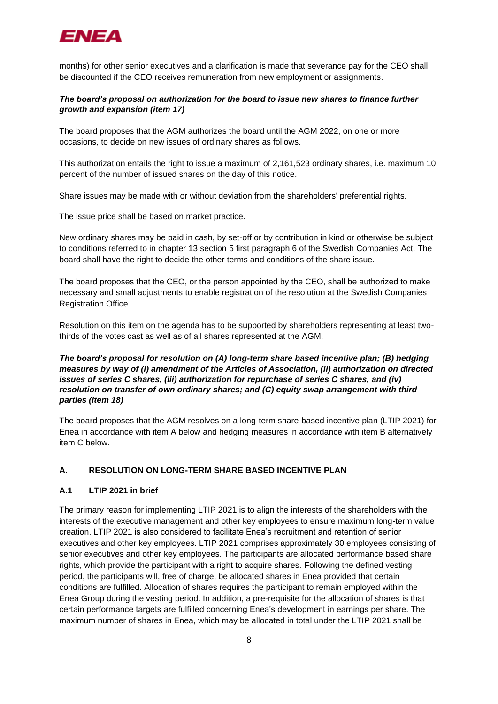

months) for other senior executives and a clarification is made that severance pay for the CEO shall be discounted if the CEO receives remuneration from new employment or assignments.

# *The board's proposal on authorization for the board to issue new shares to finance further growth and expansion (item 17)*

The board proposes that the AGM authorizes the board until the AGM 2022, on one or more occasions, to decide on new issues of ordinary shares as follows.

This authorization entails the right to issue a maximum of 2,161,523 ordinary shares, i.e. maximum 10 percent of the number of issued shares on the day of this notice.

Share issues may be made with or without deviation from the shareholders' preferential rights.

The issue price shall be based on market practice.

New ordinary shares may be paid in cash, by set-off or by contribution in kind or otherwise be subject to conditions referred to in chapter 13 section 5 first paragraph 6 of the Swedish Companies Act. The board shall have the right to decide the other terms and conditions of the share issue.

The board proposes that the CEO, or the person appointed by the CEO, shall be authorized to make necessary and small adjustments to enable registration of the resolution at the Swedish Companies Registration Office.

Resolution on this item on the agenda has to be supported by shareholders representing at least twothirds of the votes cast as well as of all shares represented at the AGM.

# *The board's proposal for resolution on (A) long-term share based incentive plan; (B) hedging measures by way of (i) amendment of the Articles of Association, (ii) authorization on directed issues of series C shares, (iii) authorization for repurchase of series C shares, and (iv) resolution on transfer of own ordinary shares; and (C) equity swap arrangement with third parties (item 18)*

The board proposes that the AGM resolves on a long-term share-based incentive plan (LTIP 2021) for Enea in accordance with item A below and hedging measures in accordance with item B alternatively item C below.

# **A. RESOLUTION ON LONG-TERM SHARE BASED INCENTIVE PLAN**

# **A.1 LTIP 2021 in brief**

The primary reason for implementing LTIP 2021 is to align the interests of the shareholders with the interests of the executive management and other key employees to ensure maximum long-term value creation. LTIP 2021 is also considered to facilitate Enea's recruitment and retention of senior executives and other key employees. LTIP 2021 comprises approximately 30 employees consisting of senior executives and other key employees. The participants are allocated performance based share rights, which provide the participant with a right to acquire shares. Following the defined vesting period, the participants will, free of charge, be allocated shares in Enea provided that certain conditions are fulfilled. Allocation of shares requires the participant to remain employed within the Enea Group during the vesting period. In addition, a pre-requisite for the allocation of shares is that certain performance targets are fulfilled concerning Enea's development in earnings per share. The maximum number of shares in Enea, which may be allocated in total under the LTIP 2021 shall be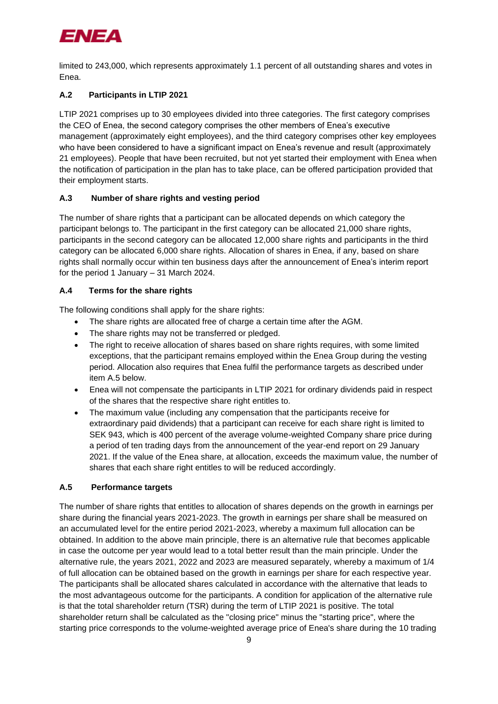

limited to 243,000, which represents approximately 1.1 percent of all outstanding shares and votes in Enea.

# **A.2 Participants in LTIP 2021**

LTIP 2021 comprises up to 30 employees divided into three categories. The first category comprises the CEO of Enea, the second category comprises the other members of Enea's executive management (approximately eight employees), and the third category comprises other key employees who have been considered to have a significant impact on Enea's revenue and result (approximately 21 employees). People that have been recruited, but not yet started their employment with Enea when the notification of participation in the plan has to take place, can be offered participation provided that their employment starts.

# **A.3 Number of share rights and vesting period**

The number of share rights that a participant can be allocated depends on which category the participant belongs to. The participant in the first category can be allocated 21,000 share rights, participants in the second category can be allocated 12,000 share rights and participants in the third category can be allocated 6,000 share rights. Allocation of shares in Enea, if any, based on share rights shall normally occur within ten business days after the announcement of Enea's interim report for the period 1 January – 31 March 2024.

# **A.4 Terms for the share rights**

The following conditions shall apply for the share rights:

- The share rights are allocated free of charge a certain time after the AGM.
- The share rights may not be transferred or pledged.
- The right to receive allocation of shares based on share rights requires, with some limited exceptions, that the participant remains employed within the Enea Group during the vesting period. Allocation also requires that Enea fulfil the performance targets as described under item [A.5](#page-8-0) below.
- Enea will not compensate the participants in LTIP 2021 for ordinary dividends paid in respect of the shares that the respective share right entitles to.
- The maximum value (including any compensation that the participants receive for extraordinary paid dividends) that a participant can receive for each share right is limited to SEK 943, which is 400 percent of the average volume-weighted Company share price during a period of ten trading days from the announcement of the year-end report on 29 January 2021. If the value of the Enea share, at allocation, exceeds the maximum value, the number of shares that each share right entitles to will be reduced accordingly.

# <span id="page-8-0"></span>**A.5 Performance targets**

The number of share rights that entitles to allocation of shares depends on the growth in earnings per share during the financial years 2021-2023. The growth in earnings per share shall be measured on an accumulated level for the entire period 2021-2023, whereby a maximum full allocation can be obtained. In addition to the above main principle, there is an alternative rule that becomes applicable in case the outcome per year would lead to a total better result than the main principle. Under the alternative rule, the years 2021, 2022 and 2023 are measured separately, whereby a maximum of 1/4 of full allocation can be obtained based on the growth in earnings per share for each respective year. The participants shall be allocated shares calculated in accordance with the alternative that leads to the most advantageous outcome for the participants. A condition for application of the alternative rule is that the total shareholder return (TSR) during the term of LTIP 2021 is positive. The total shareholder return shall be calculated as the "closing price" minus the "starting price", where the starting price corresponds to the volume-weighted average price of Enea's share during the 10 trading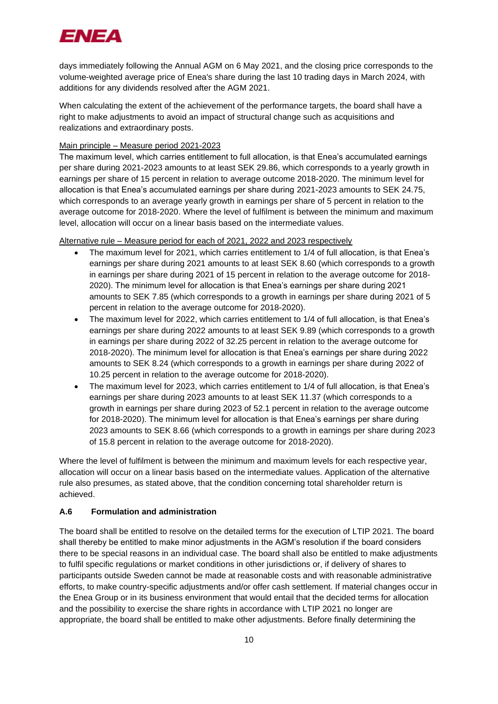

days immediately following the Annual AGM on 6 May 2021, and the closing price corresponds to the volume-weighted average price of Enea's share during the last 10 trading days in March 2024, with additions for any dividends resolved after the AGM 2021.

When calculating the extent of the achievement of the performance targets, the board shall have a right to make adjustments to avoid an impact of structural change such as acquisitions and realizations and extraordinary posts.

## Main principle – Measure period 2021-2023

The maximum level, which carries entitlement to full allocation, is that Enea's accumulated earnings per share during 2021-2023 amounts to at least SEK 29.86, which corresponds to a yearly growth in earnings per share of 15 percent in relation to average outcome 2018-2020. The minimum level for allocation is that Enea's accumulated earnings per share during 2021-2023 amounts to SEK 24.75, which corresponds to an average yearly growth in earnings per share of 5 percent in relation to the average outcome for 2018-2020. Where the level of fulfilment is between the minimum and maximum level, allocation will occur on a linear basis based on the intermediate values.

## Alternative rule – Measure period for each of 2021, 2022 and 2023 respectively

- The maximum level for 2021, which carries entitlement to 1/4 of full allocation, is that Enea's earnings per share during 2021 amounts to at least SEK 8.60 (which corresponds to a growth in earnings per share during 2021 of 15 percent in relation to the average outcome for 2018- 2020). The minimum level for allocation is that Enea's earnings per share during 2021 amounts to SEK 7.85 (which corresponds to a growth in earnings per share during 2021 of 5 percent in relation to the average outcome for 2018-2020).
- The maximum level for 2022, which carries entitlement to 1/4 of full allocation, is that Enea's earnings per share during 2022 amounts to at least SEK 9.89 (which corresponds to a growth in earnings per share during 2022 of 32.25 percent in relation to the average outcome for 2018-2020). The minimum level for allocation is that Enea's earnings per share during 2022 amounts to SEK 8.24 (which corresponds to a growth in earnings per share during 2022 of 10.25 percent in relation to the average outcome for 2018-2020).
- The maximum level for 2023, which carries entitlement to 1/4 of full allocation, is that Enea's earnings per share during 2023 amounts to at least SEK 11.37 (which corresponds to a growth in earnings per share during 2023 of 52.1 percent in relation to the average outcome for 2018-2020). The minimum level for allocation is that Enea's earnings per share during 2023 amounts to SEK 8.66 (which corresponds to a growth in earnings per share during 2023 of 15.8 percent in relation to the average outcome for 2018-2020).

Where the level of fulfilment is between the minimum and maximum levels for each respective year, allocation will occur on a linear basis based on the intermediate values. Application of the alternative rule also presumes, as stated above, that the condition concerning total shareholder return is achieved.

# **A.6 Formulation and administration**

The board shall be entitled to resolve on the detailed terms for the execution of LTIP 2021. The board shall thereby be entitled to make minor adjustments in the AGM's resolution if the board considers there to be special reasons in an individual case. The board shall also be entitled to make adjustments to fulfil specific regulations or market conditions in other jurisdictions or, if delivery of shares to participants outside Sweden cannot be made at reasonable costs and with reasonable administrative efforts, to make country-specific adjustments and/or offer cash settlement. If material changes occur in the Enea Group or in its business environment that would entail that the decided terms for allocation and the possibility to exercise the share rights in accordance with LTIP 2021 no longer are appropriate, the board shall be entitled to make other adjustments. Before finally determining the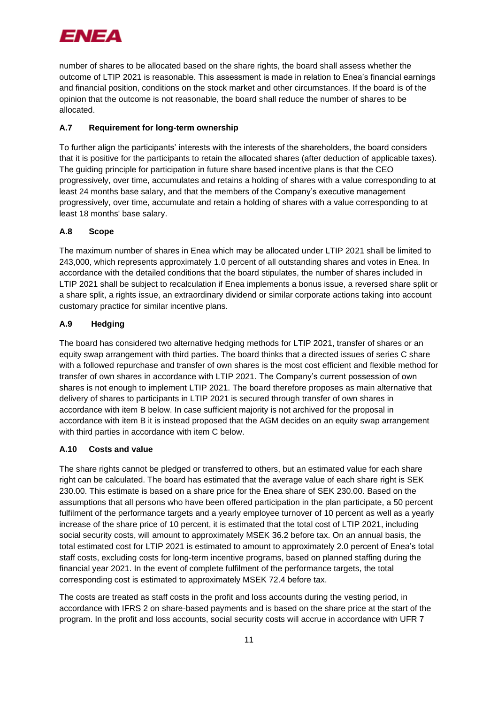

number of shares to be allocated based on the share rights, the board shall assess whether the outcome of LTIP 2021 is reasonable. This assessment is made in relation to Enea's financial earnings and financial position, conditions on the stock market and other circumstances. If the board is of the opinion that the outcome is not reasonable, the board shall reduce the number of shares to be allocated.

# **A.7 Requirement for long-term ownership**

To further align the participants' interests with the interests of the shareholders, the board considers that it is positive for the participants to retain the allocated shares (after deduction of applicable taxes). The guiding principle for participation in future share based incentive plans is that the CEO progressively, over time, accumulates and retains a holding of shares with a value corresponding to at least 24 months base salary, and that the members of the Company's executive management progressively, over time, accumulate and retain a holding of shares with a value corresponding to at least 18 months' base salary.

# **A.8 Scope**

The maximum number of shares in Enea which may be allocated under LTIP 2021 shall be limited to 243,000, which represents approximately 1.0 percent of all outstanding shares and votes in Enea. In accordance with the detailed conditions that the board stipulates, the number of shares included in LTIP 2021 shall be subject to recalculation if Enea implements a bonus issue, a reversed share split or a share split, a rights issue, an extraordinary dividend or similar corporate actions taking into account customary practice for similar incentive plans.

# **A.9 Hedging**

The board has considered two alternative hedging methods for LTIP 2021, transfer of shares or an equity swap arrangement with third parties. The board thinks that a directed issues of series C share with a followed repurchase and transfer of own shares is the most cost efficient and flexible method for transfer of own shares in accordance with LTIP 2021. The Company's current possession of own shares is not enough to implement LTIP 2021. The board therefore proposes as main alternative that delivery of shares to participants in LTIP 2021 is secured through transfer of own shares in accordance with item B below. In case sufficient majority is not archived for the proposal in accordance with item B it is instead proposed that the AGM decides on an equity swap arrangement with third parties in accordance with item C below.

# **A.10 Costs and value**

The share rights cannot be pledged or transferred to others, but an estimated value for each share right can be calculated. The board has estimated that the average value of each share right is SEK 230.00. This estimate is based on a share price for the Enea share of SEK 230.00. Based on the assumptions that all persons who have been offered participation in the plan participate, a 50 percent fulfilment of the performance targets and a yearly employee turnover of 10 percent as well as a yearly increase of the share price of 10 percent, it is estimated that the total cost of LTIP 2021, including social security costs, will amount to approximately MSEK 36.2 before tax. On an annual basis, the total estimated cost for LTIP 2021 is estimated to amount to approximately 2.0 percent of Enea's total staff costs, excluding costs for long-term incentive programs, based on planned staffing during the financial year 2021. In the event of complete fulfilment of the performance targets, the total corresponding cost is estimated to approximately MSEK 72.4 before tax.

The costs are treated as staff costs in the profit and loss accounts during the vesting period, in accordance with IFRS 2 on share-based payments and is based on the share price at the start of the program. In the profit and loss accounts, social security costs will accrue in accordance with UFR 7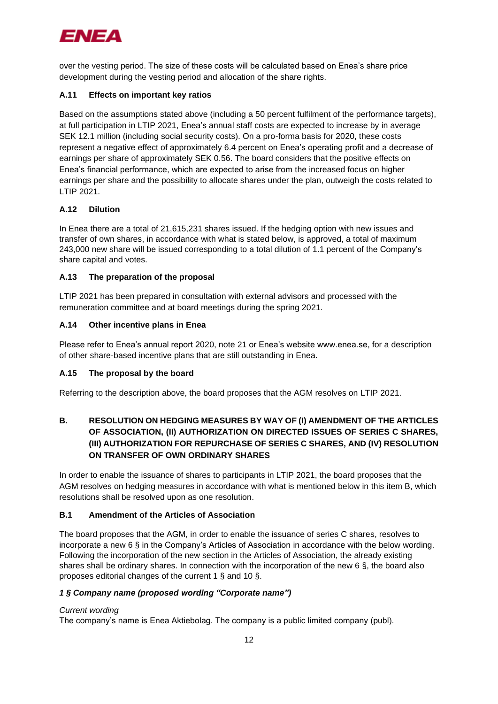

over the vesting period. The size of these costs will be calculated based on Enea's share price development during the vesting period and allocation of the share rights.

# **A.11 Effects on important key ratios**

Based on the assumptions stated above (including a 50 percent fulfilment of the performance targets), at full participation in LTIP 2021, Enea's annual staff costs are expected to increase by in average SEK 12.1 million (including social security costs). On a pro-forma basis for 2020, these costs represent a negative effect of approximately 6.4 percent on Enea's operating profit and a decrease of earnings per share of approximately SEK 0.56. The board considers that the positive effects on Enea's financial performance, which are expected to arise from the increased focus on higher earnings per share and the possibility to allocate shares under the plan, outweigh the costs related to LTIP 2021.

# **A.12 Dilution**

In Enea there are a total of 21,615,231 shares issued. If the hedging option with new issues and transfer of own shares, in accordance with what is stated below, is approved, a total of maximum 243,000 new share will be issued corresponding to a total dilution of 1.1 percent of the Company's share capital and votes.

# **A.13 The preparation of the proposal**

LTIP 2021 has been prepared in consultation with external advisors and processed with the remuneration committee and at board meetings during the spring 2021.

# **A.14 Other incentive plans in Enea**

Please refer to Enea's annual report 2020, note 21 or Enea's website www.enea.se, for a description of other share-based incentive plans that are still outstanding in Enea.

# **A.15 The proposal by the board**

Referring to the description above, the board proposes that the AGM resolves on LTIP 2021.

# **B. RESOLUTION ON HEDGING MEASURES BY WAY OF (I) AMENDMENT OF THE ARTICLES OF ASSOCIATION, (II) AUTHORIZATION ON DIRECTED ISSUES OF SERIES C SHARES, (III) AUTHORIZATION FOR REPURCHASE OF SERIES C SHARES, AND (IV) RESOLUTION ON TRANSFER OF OWN ORDINARY SHARES**

In order to enable the issuance of shares to participants in LTIP 2021, the board proposes that the AGM resolves on hedging measures in accordance with what is mentioned below in this item B, which resolutions shall be resolved upon as one resolution.

# **B.1 Amendment of the Articles of Association**

The board proposes that the AGM, in order to enable the issuance of series C shares, resolves to incorporate a new 6 § in the Company's Articles of Association in accordance with the below wording. Following the incorporation of the new section in the Articles of Association, the already existing shares shall be ordinary shares. In connection with the incorporation of the new 6 §, the board also proposes editorial changes of the current 1 § and 10 §.

# *1 § Company name (proposed wording "Corporate name")*

# *Current wording*

The company's name is Enea Aktiebolag. The company is a public limited company (publ).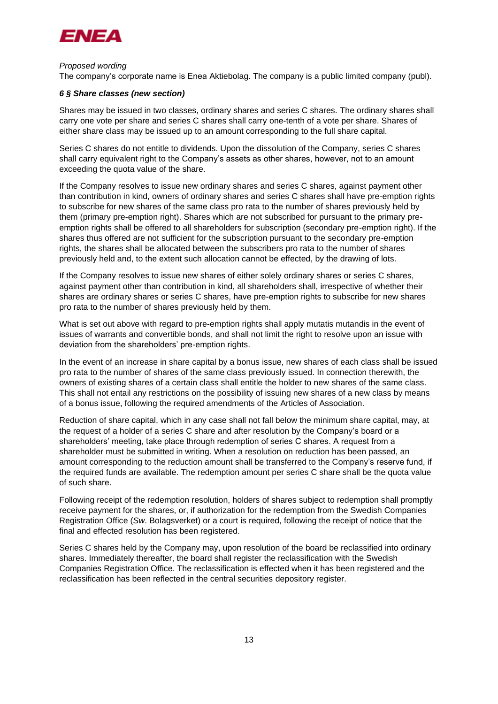

### *Proposed wording*

The company's corporate name is Enea Aktiebolag. The company is a public limited company (publ).

## *6 § Share classes (new section)*

Shares may be issued in two classes, ordinary shares and series C shares. The ordinary shares shall carry one vote per share and series C shares shall carry one-tenth of a vote per share. Shares of either share class may be issued up to an amount corresponding to the full share capital.

Series C shares do not entitle to dividends. Upon the dissolution of the Company, series C shares shall carry equivalent right to the Company's assets as other shares, however, not to an amount exceeding the quota value of the share.

If the Company resolves to issue new ordinary shares and series C shares, against payment other than contribution in kind, owners of ordinary shares and series C shares shall have pre-emption rights to subscribe for new shares of the same class pro rata to the number of shares previously held by them (primary pre-emption right). Shares which are not subscribed for pursuant to the primary preemption rights shall be offered to all shareholders for subscription (secondary pre-emption right). If the shares thus offered are not sufficient for the subscription pursuant to the secondary pre-emption rights, the shares shall be allocated between the subscribers pro rata to the number of shares previously held and, to the extent such allocation cannot be effected, by the drawing of lots.

If the Company resolves to issue new shares of either solely ordinary shares or series C shares, against payment other than contribution in kind, all shareholders shall, irrespective of whether their shares are ordinary shares or series C shares, have pre-emption rights to subscribe for new shares pro rata to the number of shares previously held by them.

What is set out above with regard to pre-emption rights shall apply mutatis mutandis in the event of issues of warrants and convertible bonds, and shall not limit the right to resolve upon an issue with deviation from the shareholders' pre-emption rights.

In the event of an increase in share capital by a bonus issue, new shares of each class shall be issued pro rata to the number of shares of the same class previously issued. In connection therewith, the owners of existing shares of a certain class shall entitle the holder to new shares of the same class. This shall not entail any restrictions on the possibility of issuing new shares of a new class by means of a bonus issue, following the required amendments of the Articles of Association.

Reduction of share capital, which in any case shall not fall below the minimum share capital, may, at the request of a holder of a series C share and after resolution by the Company's board or a shareholders' meeting, take place through redemption of series C shares. A request from a shareholder must be submitted in writing. When a resolution on reduction has been passed, an amount corresponding to the reduction amount shall be transferred to the Company's reserve fund, if the required funds are available. The redemption amount per series C share shall be the quota value of such share.

Following receipt of the redemption resolution, holders of shares subject to redemption shall promptly receive payment for the shares, or, if authorization for the redemption from the Swedish Companies Registration Office (*Sw*. Bolagsverket) or a court is required, following the receipt of notice that the final and effected resolution has been registered.

Series C shares held by the Company may, upon resolution of the board be reclassified into ordinary shares. Immediately thereafter, the board shall register the reclassification with the Swedish Companies Registration Office. The reclassification is effected when it has been registered and the reclassification has been reflected in the central securities depository register.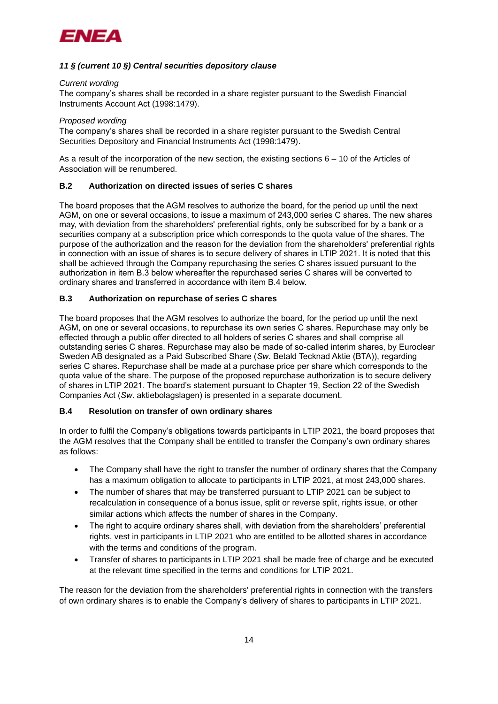

# *11 § (current 10 §) Central securities depository clause*

#### *Current wording*

The company's shares shall be recorded in a share register pursuant to the Swedish Financial Instruments Account Act (1998:1479).

#### *Proposed wording*

The company's shares shall be recorded in a share register pursuant to the Swedish Central Securities Depository and Financial Instruments Act (1998:1479).

As a result of the incorporation of the new section, the existing sections 6 – 10 of the Articles of Association will be renumbered.

## **B.2 Authorization on directed issues of series C shares**

The board proposes that the AGM resolves to authorize the board, for the period up until the next AGM, on one or several occasions, to issue a maximum of 243,000 series C shares. The new shares may, with deviation from the shareholders' preferential rights, only be subscribed for by a bank or a securities company at a subscription price which corresponds to the quota value of the shares. The purpose of the authorization and the reason for the deviation from the shareholders' preferential rights in connection with an issue of shares is to secure delivery of shares in LTIP 2021. It is noted that this shall be achieved through the Company repurchasing the series C shares issued pursuant to the authorization in item B.3 below whereafter the repurchased series C shares will be converted to ordinary shares and transferred in accordance with item B.4 below.

## **B.3 Authorization on repurchase of series C shares**

The board proposes that the AGM resolves to authorize the board, for the period up until the next AGM, on one or several occasions, to repurchase its own series C shares. Repurchase may only be effected through a public offer directed to all holders of series C shares and shall comprise all outstanding series C shares. Repurchase may also be made of so-called interim shares, by Euroclear Sweden AB designated as a Paid Subscribed Share (*Sw*. Betald Tecknad Aktie (BTA)), regarding series C shares. Repurchase shall be made at a purchase price per share which corresponds to the quota value of the share. The purpose of the proposed repurchase authorization is to secure delivery of shares in LTIP 2021. The board's statement pursuant to Chapter 19, Section 22 of the Swedish Companies Act (*Sw*. aktiebolagslagen) is presented in a separate document.

#### **B.4 Resolution on transfer of own ordinary shares**

In order to fulfil the Company's obligations towards participants in LTIP 2021, the board proposes that the AGM resolves that the Company shall be entitled to transfer the Company's own ordinary shares as follows:

- The Company shall have the right to transfer the number of ordinary shares that the Company has a maximum obligation to allocate to participants in LTIP 2021, at most 243,000 shares.
- The number of shares that may be transferred pursuant to LTIP 2021 can be subject to recalculation in consequence of a bonus issue, split or reverse split, rights issue, or other similar actions which affects the number of shares in the Company.
- The right to acquire ordinary shares shall, with deviation from the shareholders' preferential rights, vest in participants in LTIP 2021 who are entitled to be allotted shares in accordance with the terms and conditions of the program.
- Transfer of shares to participants in LTIP 2021 shall be made free of charge and be executed at the relevant time specified in the terms and conditions for LTIP 2021.

The reason for the deviation from the shareholders' preferential rights in connection with the transfers of own ordinary shares is to enable the Company's delivery of shares to participants in LTIP 2021.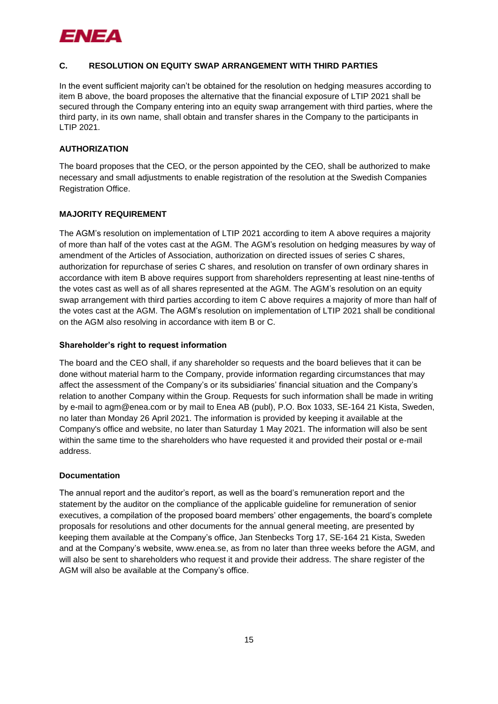

## **C. RESOLUTION ON EQUITY SWAP ARRANGEMENT WITH THIRD PARTIES**

In the event sufficient majority can't be obtained for the resolution on hedging measures according to item B above, the board proposes the alternative that the financial exposure of LTIP 2021 shall be secured through the Company entering into an equity swap arrangement with third parties, where the third party, in its own name, shall obtain and transfer shares in the Company to the participants in LTIP 2021.

## **AUTHORIZATION**

The board proposes that the CEO, or the person appointed by the CEO, shall be authorized to make necessary and small adjustments to enable registration of the resolution at the Swedish Companies Registration Office.

## **MAJORITY REQUIREMENT**

The AGM's resolution on implementation of LTIP 2021 according to item A above requires a majority of more than half of the votes cast at the AGM. The AGM's resolution on hedging measures by way of amendment of the Articles of Association, authorization on directed issues of series C shares, authorization for repurchase of series C shares, and resolution on transfer of own ordinary shares in accordance with item B above requires support from shareholders representing at least nine-tenths of the votes cast as well as of all shares represented at the AGM. The AGM's resolution on an equity swap arrangement with third parties according to item C above requires a majority of more than half of the votes cast at the AGM. The AGM's resolution on implementation of LTIP 2021 shall be conditional on the AGM also resolving in accordance with item B or C.

#### **Shareholder's right to request information**

The board and the CEO shall, if any shareholder so requests and the board believes that it can be done without material harm to the Company, provide information regarding circumstances that may affect the assessment of the Company's or its subsidiaries' financial situation and the Company's relation to another Company within the Group. Requests for such information shall be made in writing by e-mail to [agm@enea.com](mailto:agm@ena.com) or by mail to Enea AB (publ), P.O. Box 1033, SE-164 21 Kista, Sweden, no later than Monday 26 April 2021. The information is provided by keeping it available at the Company's office and website, no later than Saturday 1 May 2021. The information will also be sent within the same time to the shareholders who have requested it and provided their postal or e-mail address.

#### **Documentation**

The annual report and the auditor's report, as well as the board's remuneration report and the statement by the auditor on the compliance of the applicable guideline for remuneration of senior executives, a compilation of the proposed board members' other engagements, the board's complete proposals for resolutions and other documents for the annual general meeting, are presented by keeping them available at the Company's office, Jan Stenbecks Torg 17, SE-164 21 Kista, Sweden and at the Company's website, [www.enea.se,](http://www.enea.se/) as from no later than three weeks before the AGM, and will also be sent to shareholders who request it and provide their address. The share register of the AGM will also be available at the Company's office.